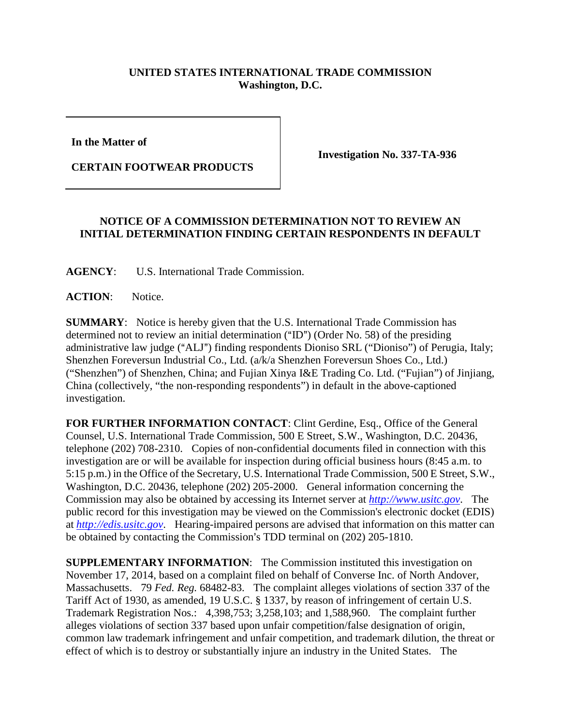## **UNITED STATES INTERNATIONAL TRADE COMMISSION Washington, D.C.**

**In the Matter of** 

**CERTAIN FOOTWEAR PRODUCTS**

**Investigation No. 337-TA-936**

## **NOTICE OF A COMMISSION DETERMINATION NOT TO REVIEW AN INITIAL DETERMINATION FINDING CERTAIN RESPONDENTS IN DEFAULT**

**AGENCY**: U.S. International Trade Commission.

**ACTION**: Notice.

**SUMMARY**: Notice is hereby given that the U.S. International Trade Commission has determined not to review an initial determination  $("ID")$  (Order No. 58) of the presiding administrative law judge ("ALJ") finding respondents Dioniso SRL ("Dioniso") of Perugia, Italy; Shenzhen Foreversun Industrial Co., Ltd. (a/k/a Shenzhen Foreversun Shoes Co., Ltd.) ("Shenzhen") of Shenzhen, China; and Fujian Xinya I&E Trading Co. Ltd. ("Fujian") of Jinjiang, China (collectively, "the non-responding respondents") in default in the above-captioned investigation.

**FOR FURTHER INFORMATION CONTACT**: Clint Gerdine, Esq., Office of the General Counsel, U.S. International Trade Commission, 500 E Street, S.W., Washington, D.C. 20436, telephone (202) 708-2310. Copies of non-confidential documents filed in connection with this investigation are or will be available for inspection during official business hours (8:45 a.m. to 5:15 p.m.) in the Office of the Secretary, U.S. International Trade Commission, 500 E Street, S.W., Washington, D.C. 20436, telephone (202) 205-2000. General information concerning the Commission may also be obtained by accessing its Internet server at *[http://www.usitc.gov](http://www.usitc.gov/)*. The public record for this investigation may be viewed on the Commission's electronic docket (EDIS) at *[http://edis.usitc.gov](http://edis.usitc.gov/)*. Hearing-impaired persons are advised that information on this matter can be obtained by contacting the Commission's TDD terminal on (202) 205-1810.

**SUPPLEMENTARY INFORMATION:** The Commission instituted this investigation on November 17, 2014, based on a complaint filed on behalf of Converse Inc. of North Andover, Massachusetts. 79 *Fed. Reg.* 68482-83. The complaint alleges violations of section 337 of the Tariff Act of 1930, as amended, 19 U.S.C. § 1337, by reason of infringement of certain U.S. Trademark Registration Nos.: 4,398,753; 3,258,103; and 1,588,960. The complaint further alleges violations of section 337 based upon unfair competition/false designation of origin, common law trademark infringement and unfair competition, and trademark dilution, the threat or effect of which is to destroy or substantially injure an industry in the United States. The